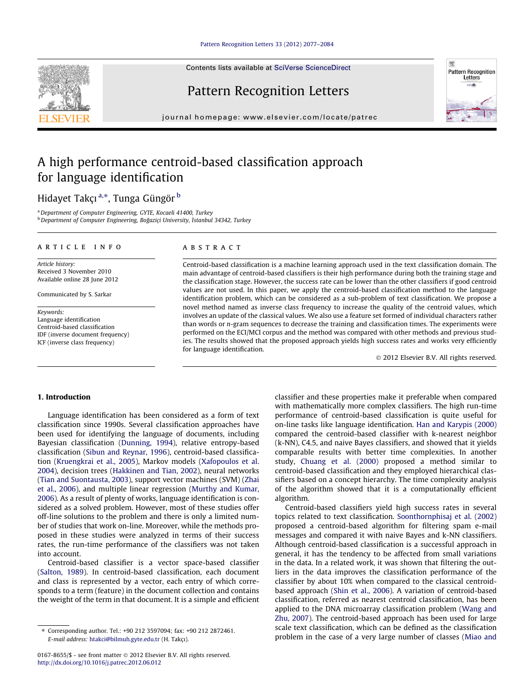# [Pattern Recognition Letters 33 \(2012\) 2077–2084](http://dx.doi.org/10.1016/j.patrec.2012.06.012)

Contents lists available at [SciVerse ScienceDirect](http://www.sciencedirect.com/science/journal/01678655)

# Pattern Recognition Letters

journal homepage: [www.elsevier.com/locate/patrec](http://www.elsevier.com/locate/patrec)

# A high performance centroid-based classification approach for language identification

# Hidayet Takçı <sup>a,</sup>\*, Tunga Güngör <sup>b</sup>

<sup>a</sup>Department of Computer Engineering, GYTE, Kocaeli 41400, Turkey <sup>b</sup> Department of Computer Engineering, Boğaziçi University, İstanbul 34342, Turkey

#### article info

Article history: Received 3 November 2010 Available online 28 June 2012

Communicated by S. Sarkar

Keywords:

Language identification Centroid-based classification IDF (inverse document frequency) ICF (inverse class frequency)

# ABSTRACT

Centroid-based classification is a machine learning approach used in the text classification domain. The main advantage of centroid-based classifiers is their high performance during both the training stage and the classification stage. However, the success rate can be lower than the other classifiers if good centroid values are not used. In this paper, we apply the centroid-based classification method to the language identification problem, which can be considered as a sub-problem of text classification. We propose a novel method named as inverse class frequency to increase the quality of the centroid values, which involves an update of the classical values. We also use a feature set formed of individual characters rather than words or n-gram sequences to decrease the training and classification times. The experiments were performed on the ECI/MCI corpus and the method was compared with other methods and previous studies. The results showed that the proposed approach yields high success rates and works very efficiently for language identification.

- 2012 Elsevier B.V. All rights reserved.

# 1. Introduction

Language identification has been considered as a form of text classification since 1990s. Several classification approaches have been used for identifying the language of documents, including Bayesian classification [\(Dunning, 1994\)](#page-7-0), relative entropy-based classification [\(Sibun and Reynar, 1996](#page-7-0)), centroid-based classification [\(Kruengkrai et al., 2005](#page-7-0)), Markov models [\(Xafopoulos et al.](#page-7-0) [2004](#page-7-0)), decision trees ([Hakkinen and Tian, 2002](#page-7-0)), neural networks ([Tian and Suontausta, 2003\)](#page-7-0), support vector machines (SVM) [\(Zhai](#page-7-0) [et al., 2006\)](#page-7-0), and multiple linear regression [\(Murthy and Kumar,](#page-7-0) [2006](#page-7-0)). As a result of plenty of works, language identification is considered as a solved problem. However, most of these studies offer off-line solutions to the problem and there is only a limited number of studies that work on-line. Moreover, while the methods proposed in these studies were analyzed in terms of their success rates, the run-time performance of the classifiers was not taken into account.

Centroid-based classifier is a vector space-based classifier ([Salton, 1989\)](#page-7-0). In centroid-based classification, each document and class is represented by a vector, each entry of which corresponds to a term (feature) in the document collection and contains the weight of the term in that document. It is a simple and efficient

classifier and these properties make it preferable when compared with mathematically more complex classifiers. The high run-time performance of centroid-based classification is quite useful for on-line tasks like language identification. [Han and Karypis \(2000\)](#page-7-0) compared the centroid-based classifier with k-nearest neighbor (k-NN), C4.5, and naive Bayes classifiers, and showed that it yields comparable results with better time complexities. In another study, [Chuang et al. \(2000\)](#page-7-0) proposed a method similar to centroid-based classification and they employed hierarchical classifiers based on a concept hierarchy. The time complexity analysis of the algorithm showed that it is a computationally efficient algorithm.

Centroid-based classifiers yield high success rates in several topics related to text classification. [Soonthornphisaj et al. \(2002\)](#page-7-0) proposed a centroid-based algorithm for filtering spam e-mail messages and compared it with naive Bayes and k-NN classifiers. Although centroid-based classification is a successful approach in general, it has the tendency to be affected from small variations in the data. In a related work, it was shown that filtering the outliers in the data improves the classification performance of the classifier by about 10% when compared to the classical centroidbased approach ([Shin et al., 2006](#page-7-0)). A variation of centroid-based classification, referred as nearest centroid classification, has been applied to the DNA microarray classification problem [\(Wang and](#page-7-0) [Zhu, 2007\)](#page-7-0). The centroid-based approach has been used for large scale text classification, which can be defined as the classification problem in the case of a very large number of classes [\(Miao and](#page-7-0)





<sup>⇑</sup> Corresponding author. Tel.: +90 212 3597094; fax: +90 212 2872461. E-mail address: [htakci@bilmuh.gyte.edu.tr](mailto:htakci@bilmuh.gyte.edu.tr) (H. Takçı).

<sup>0167-8655/\$ -</sup> see front matter © 2012 Elsevier B.V. All rights reserved. <http://dx.doi.org/10.1016/j.patrec.2012.06.012>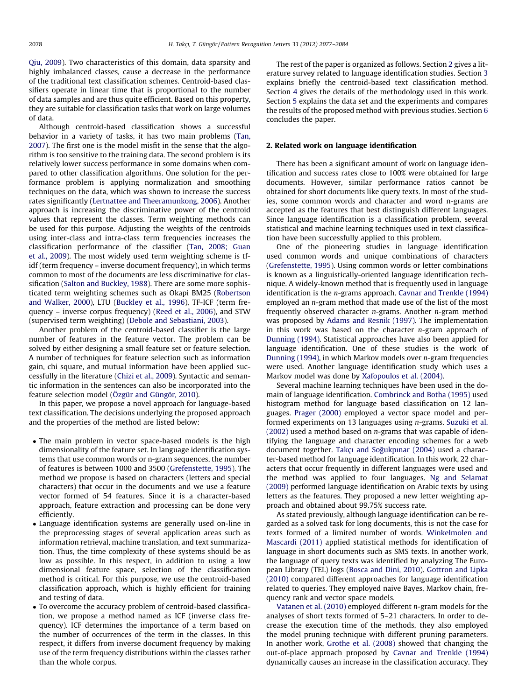[Qiu, 2009](#page-7-0)). Two characteristics of this domain, data sparsity and highly imbalanced classes, cause a decrease in the performance of the traditional text classification schemes. Centroid-based classifiers operate in linear time that is proportional to the number of data samples and are thus quite efficient. Based on this property, they are suitable for classification tasks that work on large volumes of data.

Although centroid-based classification shows a successful behavior in a variety of tasks, it has two main problems [\(Tan,](#page-7-0) [2007\)](#page-7-0). The first one is the model misfit in the sense that the algorithm is too sensitive to the training data. The second problem is its relatively lower success performance in some domains when compared to other classification algorithms. One solution for the performance problem is applying normalization and smoothing techniques on the data, which was shown to increase the success rates significantly ([Lertnattee and Theeramunkong, 2006](#page-7-0)). Another approach is increasing the discriminative power of the centroid values that represent the classes. Term weighting methods can be used for this purpose. Adjusting the weights of the centroids using inter-class and intra-class term frequencies increases the classification performance of the classifier ([Tan, 2008; Guan](#page-7-0) [et al., 2009\)](#page-7-0). The most widely used term weighting scheme is tfidf (term frequency – inverse document frequency), in which terms common to most of the documents are less discriminative for classification [\(Salton and Buckley, 1988](#page-7-0)). There are some more sophisticated term weighting schemes such as Okapi BM25 ([Robertson](#page-7-0) [and Walker, 2000](#page-7-0)), LTU ([Buckley et al., 1996](#page-7-0)), TF-ICF (term frequency – inverse corpus frequency) ([Reed et al., 2006](#page-7-0)), and STW (supervised term weighting) ([Debole and Sebastiani, 2003\)](#page-7-0).

Another problem of the centroid-based classifier is the large number of features in the feature vector. The problem can be solved by either designing a small feature set or feature selection. A number of techniques for feature selection such as information gain, chi square, and mutual information have been applied successfully in the literature ([Chizi et al., 2009](#page-7-0)). Syntactic and semantic information in the sentences can also be incorporated into the feature selection model ([Özgür and Güngör, 2010](#page-7-0)).

In this paper, we propose a novel approach for language-based text classification. The decisions underlying the proposed approach and the properties of the method are listed below:

- The main problem in vector space-based models is the high dimensionality of the feature set. In language identification systems that use common words or n-gram sequences, the number of features is between 1000 and 3500 ([Grefenstette, 1995\)](#page-7-0). The method we propose is based on characters (letters and special characters) that occur in the documents and we use a feature vector formed of 54 features. Since it is a character-based approach, feature extraction and processing can be done very efficiently.
- Language identification systems are generally used on-line in the preprocessing stages of several application areas such as information retrieval, machine translation, and text summarization. Thus, the time complexity of these systems should be as low as possible. In this respect, in addition to using a low dimensional feature space, selection of the classification method is critical. For this purpose, we use the centroid-based classification approach, which is highly efficient for training and testing of data.
- To overcome the accuracy problem of centroid-based classification, we propose a method named as ICF (inverse class frequency). ICF determines the importance of a term based on the number of occurrences of the term in the classes. In this respect, it differs from inverse document frequency by making use of the term frequency distributions within the classes rather than the whole corpus.

The rest of the paper is organized as follows. Section 2 gives a literature survey related to language identification studies. Section [3](#page-2-0) explains briefly the centroid-based text classification method. Section [4](#page-2-0) gives the details of the methodology used in this work. Section [5](#page-4-0) explains the data set and the experiments and compares the results of the proposed method with previous studies. Section [6](#page-6-0) concludes the paper.

# 2. Related work on language identification

There has been a significant amount of work on language identification and success rates close to 100% were obtained for large documents. However, similar performance ratios cannot be obtained for short documents like query texts. In most of the studies, some common words and character and word n-grams are accepted as the features that best distinguish different languages. Since language identification is a classification problem, several statistical and machine learning techniques used in text classification have been successfully applied to this problem.

One of the pioneering studies in language identification used common words and unique combinations of characters ([Grefenstette, 1995\)](#page-7-0). Using common words or letter combinations is known as a linguistically-oriented language identification technique. A widely-known method that is frequently used in language identification is the n-grams approach. [Cavnar and Trenkle \(1994\)](#page-7-0) employed an *n*-gram method that made use of the list of the most frequently observed character n-grams. Another n-gram method was proposed by [Adams and Resnik \(1997\).](#page-7-0) The implementation in this work was based on the character  $n$ -gram approach of [Dunning \(1994\)](#page-7-0). Statistical approaches have also been applied for language identification. One of these studies is the work of [Dunning \(1994\)](#page-7-0), in which Markov models over n-gram frequencies were used. Another language identification study which uses a Markov model was done by [Xafopoulos et al. \(2004\)](#page-7-0).

Several machine learning techniques have been used in the domain of language identification. [Combrinck and Botha \(1995\)](#page-7-0) used histogram method for language based classification on 12 languages. [Prager \(2000\)](#page-7-0) employed a vector space model and performed experiments on 13 languages using n-grams. [Suzuki et al.](#page-7-0)  $(2002)$  used a method based on *n*-grams that was capable of identifying the language and character encoding schemes for a web document together. Takçı and Soğukpınar (2004) used a character-based method for language identification. In this work, 22 characters that occur frequently in different languages were used and the method was applied to four languages. [Ng and Selamat](#page-7-0) [\(2009\)](#page-7-0) performed language identification on Arabic texts by using letters as the features. They proposed a new letter weighting approach and obtained about 99.75% success rate.

As stated previously, although language identification can be regarded as a solved task for long documents, this is not the case for texts formed of a limited number of words. [Winkelmolen and](#page-7-0) [Mascardi \(2011\)](#page-7-0) applied statistical methods for identification of language in short documents such as SMS texts. In another work, the language of query texts was identified by analyzing The European Library (TEL) logs [\(Bosca and Dini, 2010\)](#page-7-0). [Gottron and Lipka](#page-7-0) [\(2010\)](#page-7-0) compared different approaches for language identification related to queries. They employed naive Bayes, Markov chain, frequency rank and vector space models.

[Vatanen et al. \(2010\)](#page-7-0) employed different n-gram models for the analyses of short texts formed of 5–21 characters. In order to decrease the execution time of the methods, they also employed the model pruning technique with different pruning parameters. In another work, [Grothe et al. \(2008\)](#page-7-0) showed that changing the out-of-place approach proposed by [Cavnar and Trenkle \(1994\)](#page-7-0) dynamically causes an increase in the classification accuracy. They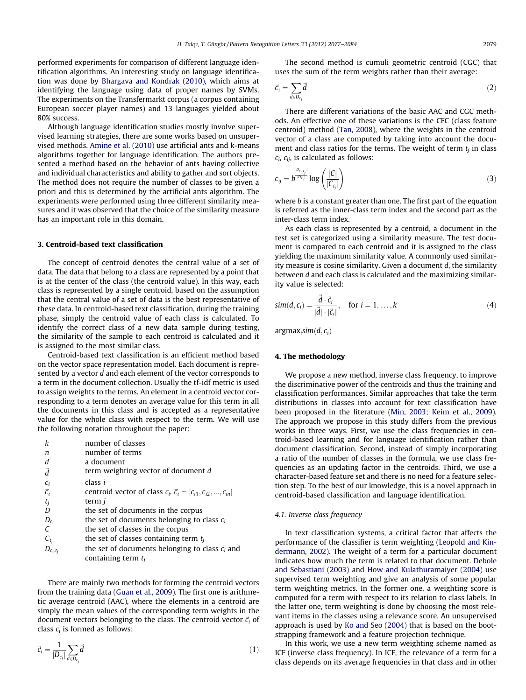<span id="page-2-0"></span>performed experiments for comparison of different language identification algorithms. An interesting study on language identification was done by [Bhargava and Kondrak \(2010\),](#page-7-0) which aims at identifying the language using data of proper names by SVMs. The experiments on the Transfermarkt corpus (a corpus containing European soccer player names) and 13 languages yielded about 80% success.

Although language identification studies mostly involve supervised learning strategies, there are some works based on unsupervised methods. [Amine et al. \(2010\)](#page-7-0) use artificial ants and k-means algorithms together for language identification. The authors presented a method based on the behavior of ants having collective and individual characteristics and ability to gather and sort objects. The method does not require the number of classes to be given a priori and this is determined by the artificial ants algorithm. The experiments were performed using three different similarity measures and it was observed that the choice of the similarity measure has an important role in this domain.

#### 3. Centroid-based text classification

The concept of centroid denotes the central value of a set of data. The data that belong to a class are represented by a point that is at the center of the class (the centroid value). In this way, each class is represented by a single centroid, based on the assumption that the central value of a set of data is the best representative of these data. In centroid-based text classification, during the training phase, simply the centroid value of each class is calculated. To identify the correct class of a new data sample during testing, the similarity of the sample to each centroid is calculated and it is assigned to the most similar class.

Centroid-based text classification is an efficient method based on the vector space representation model. Each document is represented by a vector  $\vec{d}$  and each element of the vector corresponds to a term in the document collection. Usually the tf-idf metric is used to assign weights to the terms. An element in a centroid vector corresponding to a term denotes an average value for this term in all the documents in this class and is accepted as a representative value for the whole class with respect to the term. We will use the following notation throughout the paper:

| number of classes                                                         |
|---------------------------------------------------------------------------|
| number of terms                                                           |
| a document                                                                |
| term weighting vector of document d                                       |
| class <i>i</i>                                                            |
| centroid vector of class $c_i$ , $\vec{c}_i = [c_{i1}, c_{i2}, , c_{in}]$ |
| term <i>i</i>                                                             |
| the set of documents in the corpus                                        |
| the set of documents belonging to class $c_i$                             |
| the set of classes in the corpus                                          |
| the set of classes containing term $t_i$                                  |
| the set of documents belonging to class $c_i$ and                         |
| containing term $t_i$                                                     |
|                                                                           |

There are mainly two methods for forming the centroid vectors from the training data ([Guan et al., 2009](#page-7-0)). The first one is arithmetic average centroid (AAC), where the elements in a centroid are simply the mean values of the corresponding term weights in the document vectors belonging to the class. The centroid vector  $\vec{c}_i$  of class  $c_i$  is formed as follows:

$$
\vec{c}_i = \frac{1}{|D_{c_i}|} \sum_{d \in D_{c_i}} \vec{d}
$$
 (1)

The second method is cumuli geometric centroid (CGC) that uses the sum of the term weights rather than their average:

$$
\vec{c}_i = \sum_{d \in D_{c_i}} \vec{d}
$$
 (2)

There are different variations of the basic AAC and CGC methods. An effective one of these variations is the CFC (class feature centroid) method [\(Tan, 2008](#page-7-0)), where the weights in the centroid vector of a class are computed by taking into account the document and class ratios for the terms. The weight of term  $t_i$  in class  $c_i$ ,  $c_{ii}$ , is calculated as follows:

$$
c_{ij} = b^{\frac{|D_{c_i, t_j}|}{|D_{c_i}|}} \log \left( \frac{|C|}{|C_{t_j}|} \right) \tag{3}
$$

where b is a constant greater than one. The first part of the equation is referred as the inner-class term index and the second part as the inter-class term index.

As each class is represented by a centroid, a document in the test set is categorized using a similarity measure. The test document is compared to each centroid and it is assigned to the class yielding the maximum similarity value. A commonly used similarity measure is cosine similarity. Given a document d, the similarity between d and each class is calculated and the maximizing similarity value is selected:

$$
sim(d, c_i) = \frac{\vec{d} \cdot \vec{c}_i}{|\vec{d}| \cdot |\vec{c}_i|}, \quad \text{for } i = 1, \dots, k
$$
 (4)

 $argmax_i sim(d, c_i)$ 

# 4. The methodology

We propose a new method, inverse class frequency, to improve the discriminative power of the centroids and thus the training and classification performances. Similar approaches that take the term distributions in classes into account for text classification have been proposed in the literature ([Min, 2003; Keim et al., 2009\)](#page-7-0). The approach we propose in this study differs from the previous works in three ways. First, we use the class frequencies in centroid-based learning and for language identification rather than document classification. Second, instead of simply incorporating a ratio of the number of classes in the formula, we use class frequencies as an updating factor in the centroids. Third, we use a character-based feature set and there is no need for a feature selection step. To the best of our knowledge, this is a novel approach in centroid-based classification and language identification.

# 4.1. Inverse class frequency

In text classification systems, a critical factor that affects the performance of the classifier is term weighting [\(Leopold and Kin](#page-7-0)[dermann, 2002\)](#page-7-0). The weight of a term for a particular document indicates how much the term is related to that document. [Debole](#page-7-0) [and Sebastiani \(2003\)](#page-7-0) and [How and Kulathuramaiyer \(2004\)](#page-7-0) use supervised term weighting and give an analysis of some popular term weighting metrics. In the former one, a weighting score is computed for a term with respect to its relation to class labels. In the latter one, term weighting is done by choosing the most relevant items in the classes using a relevance score. An unsupervised approach is used by [Ko and Seo \(2004\)](#page-7-0) that is based on the bootstrapping framework and a feature projection technique.

In this work, we use a new term weighting scheme named as ICF (inverse class frequency). In ICF, the relevance of a term for a class depends on its average frequencies in that class and in other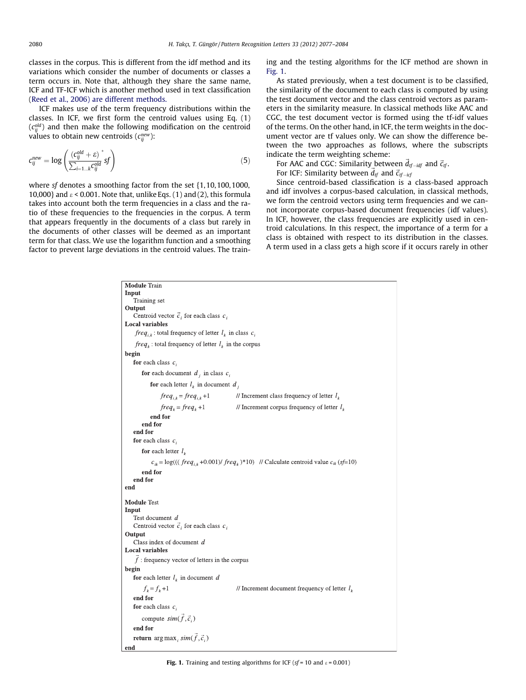classes in the corpus. This is different from the idf method and its variations which consider the number of documents or classes a term occurs in. Note that, although they share the same name, ICF and TF-ICF which is another method used in text classification ([Reed et al., 2006\) are different methods.](#page-7-0)

ICF makes use of the term frequency distributions within the classes. In ICF, we first form the centroid values using Eq. (1)  $(c_{ij}^{old})$  and then make the following modification on the centroid values to obtain new centroids ( $c_{ij}^{\mathit{new}}$ ):

$$
c_{ij}^{new} = \log \left( \frac{(c_{ij}^{old} + \varepsilon)^*}{\sum_{i=1...k} c_{ij}^{old}} sf \right)
$$
 (5)

where sf denotes a smoothing factor from the set {1,10,100, 1000, 10,000} and  $\epsilon$  < 0.001. Note that, unlike Eqs. (1) and (2), this formula takes into account both the term frequencies in a class and the ratio of these frequencies to the frequencies in the corpus. A term that appears frequently in the documents of a class but rarely in the documents of other classes will be deemed as an important term for that class. We use the logarithm function and a smoothing factor to prevent large deviations in the centroid values. The training and the testing algorithms for the ICF method are shown in Fig. 1.

As stated previously, when a test document is to be classified, the similarity of the document to each class is computed by using the test document vector and the class centroid vectors as parameters in the similarity measure. In classical methods like AAC and CGC, the test document vector is formed using the tf-idf values of the terms. On the other hand, in ICF, the term weights in the document vector are tf values only. We can show the difference between the two approaches as follows, where the subscripts indicate the term weighting scheme:

For AAC and CGC: Similarity between  $\vec{d}_{tf-idf}$  and  $\vec{c}_{tf}$ .

For ICF: Similarity between  $\vec{d}_{tf}$  and  $\vec{c}_{tf-if}$ 

Since centroid-based classification is a class-based approach and idf involves a corpus-based calculation, in classical methods, we form the centroid vectors using term frequencies and we cannot incorporate corpus-based document frequencies (idf values). In ICF, however, the class frequencies are explicitly used in centroid calculations. In this respect, the importance of a term for a class is obtained with respect to its distribution in the classes. A term used in a class gets a high score if it occurs rarely in other

| <b>Module</b> Train<br>Input                                      |                                                                                                   |
|-------------------------------------------------------------------|---------------------------------------------------------------------------------------------------|
| Training set                                                      |                                                                                                   |
| Output                                                            |                                                                                                   |
| Centroid vector $\vec{c}_i$ for each class $c_i$                  |                                                                                                   |
| <b>Local variables</b>                                            |                                                                                                   |
| $freq_{i,k}$ : total frequency of letter $l_k$ in class $c_i$     |                                                                                                   |
| $freq_k$ : total frequency of letter $l_k$ in the corpus<br>begin |                                                                                                   |
| for each class $c_i$                                              |                                                                                                   |
| for each document $d_j$ in class $c_i$                            |                                                                                                   |
| for each letter $l_k$ in document $d_i$                           |                                                                                                   |
| $freq_{i,k} = freq_{i,k} + 1$                                     | // Increment class frequency of letter $l_k$                                                      |
| $freq_k = freq_k + 1$                                             |                                                                                                   |
|                                                                   | // Increment corpus frequency of letter $l_k$                                                     |
| end for<br>end for                                                |                                                                                                   |
| end for                                                           |                                                                                                   |
| for each class $c_i$                                              |                                                                                                   |
| for each letter $l_k$                                             |                                                                                                   |
|                                                                   | $c_{ik} = \log(((freq_{i,k} + 0.001) / freq_k)^*10)$ // Calculate centroid value $c_{ik}$ (sf=10) |
| end for                                                           |                                                                                                   |
| end for                                                           |                                                                                                   |
| end                                                               |                                                                                                   |
| <b>Module Test</b>                                                |                                                                                                   |
| Input                                                             |                                                                                                   |
| Test document d                                                   |                                                                                                   |
| Centroid vector $\vec{c}_i$ for each class $c_i$                  |                                                                                                   |
| Output<br>Class index of document d                               |                                                                                                   |
| <b>Local variables</b>                                            |                                                                                                   |
| $\vec{f}$ : frequency vector of letters in the corpus             |                                                                                                   |
| begin                                                             |                                                                                                   |
| for each letter $l_k$ in document d                               |                                                                                                   |
| $f_k = f_k + 1$                                                   | // Increment document frequency of letter $l_k$                                                   |
| end for                                                           |                                                                                                   |
| for each class $c_i$                                              |                                                                                                   |
| compute $sim(\vec{f}, \vec{c}_i)$                                 |                                                                                                   |
| end for                                                           |                                                                                                   |
| <b>return</b> arg max, $sim(\vec{f}, \vec{c})$                    |                                                                                                   |
| end                                                               |                                                                                                   |

Fig. 1. Training and testing algorithms for ICF (sf = 10 and  $\varepsilon$  = 0.001)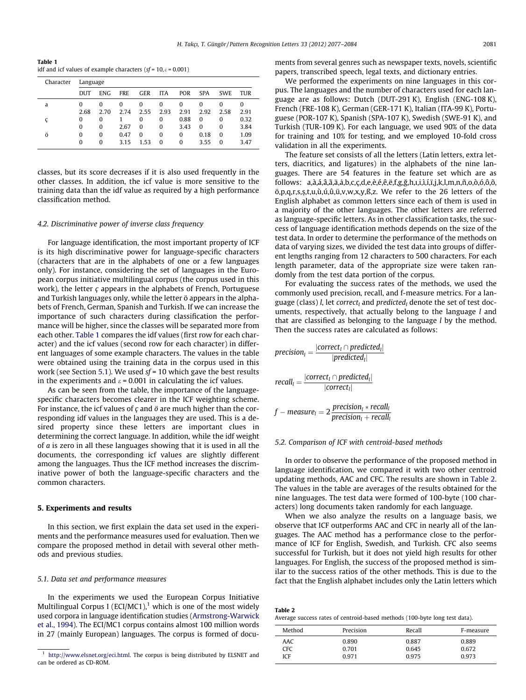<span id="page-4-0"></span>Table 1 idf and icf values of example characters ( $sf = 10, \varepsilon = 0.001$ )

| Character | Language |            |            |            |            |            |            |            |      |
|-----------|----------|------------|------------|------------|------------|------------|------------|------------|------|
|           | DUT      | <b>ENG</b> | <b>FRE</b> | <b>GER</b> | <b>ITA</b> | <b>POR</b> | <b>SPA</b> | <b>SWE</b> | TUR  |
| a         | 0        | 0          | 0          | 0          | 0          | 0          | 0          | 0          | 0    |
|           | 2.68     | 2.70       | 2.74       | 2.55       | 2.93       | 2.91       | 2.92       | 2.58       | 2.91 |
|           | 0        | 0          |            | 0          | 0          | 0.88       | 0          | 0          | 0.32 |
|           | 0        | 0          | 2.67       | 0          | 0          | 3.43       | 0          | 0          | 3.84 |
| ö         | 0        | 0          | 0.47       | 0          | 0          | $\Omega$   | 0.18       | 0          | 1.09 |
|           | 0        | 0          | 3.15       | 1.53       | 0          | 0          | 3.55       | 0          | 3.47 |

classes, but its score decreases if it is also used frequently in the other classes. In addition, the icf value is more sensitive to the training data than the idf value as required by a high performance classification method.

# 4.2. Discriminative power of inverse class frequency

For language identification, the most important property of ICF is its high discriminative power for language-specific characters (characters that are in the alphabets of one or a few languages only). For instance, considering the set of languages in the European corpus initiative multilingual corpus (the corpus used in this work), the letter  $\varsigma$  appears in the alphabets of French, Portuguese and Turkish languages only, while the letter ö appears in the alphabets of French, German, Spanish and Turkish. If we can increase the importance of such characters during classification the performance will be higher, since the classes will be separated more from each other. Table 1 compares the idf values (first row for each character) and the icf values (second row for each character) in different languages of some example characters. The values in the table were obtained using the training data in the corpus used in this work (see Section 5.1). We used  $sf = 10$  which gave the best results in the experiments and  $\varepsilon$  = 0.001 in calculating the icf values.

As can be seen from the table, the importance of the languagespecific characters becomes clearer in the ICF weighting scheme. For instance, the icf values of  $c$  and  $\ddot{o}$  are much higher than the corresponding idf values in the languages they are used. This is a desired property since these letters are important clues in determining the correct language. In addition, while the idf weight of a is zero in all these languages showing that it is used in all the documents, the corresponding icf values are slightly different among the languages. Thus the ICF method increases the discriminative power of both the language-specific characters and the common characters.

#### 5. Experiments and results

In this section, we first explain the data set used in the experiments and the performance measures used for evaluation. Then we compare the proposed method in detail with several other methods and previous studies.

## 5.1. Data set and performance measures

In the experiments we used the European Corpus Initiative Multilingual Corpus I (ECI/MC1),<sup>1</sup> which is one of the most widely used corpora in language identification studies [\(Armstrong-Warwick](#page-7-0) [et al., 1994\)](#page-7-0). The ECI/MC1 corpus contains almost 100 million words in 27 (mainly European) languages. The corpus is formed of documents from several genres such as newspaper texts, novels, scientific papers, transcribed speech, legal texts, and dictionary entries.

We performed the experiments on nine languages in this corpus. The languages and the number of characters used for each language are as follows: Dutch (DUT-291 K), English (ENG-108 K), French (FRE-108 K), German (GER-171 K), Italian (ITA-99 K), Portuguese (POR-107 K), Spanish (SPA-107 K), Swedish (SWE-91 K), and Turkish (TUR-109 K). For each language, we used 90% of the data for training and 10% for testing, and we employed 10-fold cross validation in all the experiments.

The feature set consists of all the letters (Latin letters, extra letters, diacritics, and ligatures) in the alphabets of the nine languages. There are 54 features in the feature set which are as follows: a,à,á,â,ã,ä,å,b,c,ç,d,e,è,é,ê,ë,f,g,g˘,h,ı,i,ì,í,ï,j,k,l,m,n,ñ,o,ò,ó,ô,õ, ö,p,q,r,s,ş,t,u,ù,ú,û,ü,v,w,x,y,ß,z. We refer to the 26 letters of the English alphabet as common letters since each of them is used in a majority of the other languages. The other letters are referred as language-specific letters. As in other classification tasks, the success of language identification methods depends on the size of the test data. In order to determine the performance of the methods on data of varying sizes, we divided the test data into groups of different lengths ranging from 12 characters to 500 characters. For each length parameter, data of the appropriate size were taken randomly from the test data portion of the corpus.

For evaluating the success rates of the methods, we used the commonly used precision, recall, and f-measure metrics. For a language (class) *l*, let *correct<sub>l</sub>* and *predicted<sub>l</sub>* denote the set of test documents, respectively, that actually belong to the language  $l$  and that are classified as belonging to the language l by the method. Then the success rates are calculated as follows:

$$
precision_{l} = \frac{|correct_{l} \cap predicted_{l}|}{|predicted_{l}|}
$$

$$
recall_{l} = \frac{|correct_{l} \cap predicted_{l}|}{|correct_{l}|}
$$

$$
f-measure_l = 2 \frac{precision_l * recall_l}{precision_l + recall_l}
$$

# 5.2. Comparison of ICF with centroid-based methods

In order to observe the performance of the proposed method in language identification, we compared it with two other centroid updating methods, AAC and CFC. The results are shown in Table 2. The values in the table are averages of the results obtained for the nine languages. The test data were formed of 100-byte (100 characters) long documents taken randomly for each language.

When we also analyze the results on a language basis, we observe that ICF outperforms AAC and CFC in nearly all of the languages. The AAC method has a performance close to the performance of ICF for English, Swedish, and Turkish. CFC also seems successful for Turkish, but it does not yield high results for other languages. For English, the success of the proposed method is similar to the success ratios of the other methods. This is due to the fact that the English alphabet includes only the Latin letters which

| Table 2                                                                    |
|----------------------------------------------------------------------------|
| Average success rates of centroid-based methods (100-byte long test data). |

| Method | Precision | Recall | F-measure |
|--------|-----------|--------|-----------|
| AAC    | 0.890     | 0.887  | 0.889     |
| CFC    | 0.701     | 0.645  | 0.672     |
| ICF    | 0.971     | 0.975  | 0.973     |

<http://www.elsnet.org/eci.html>. The corpus is being distributed by ELSNET and can be ordered as CD-ROM.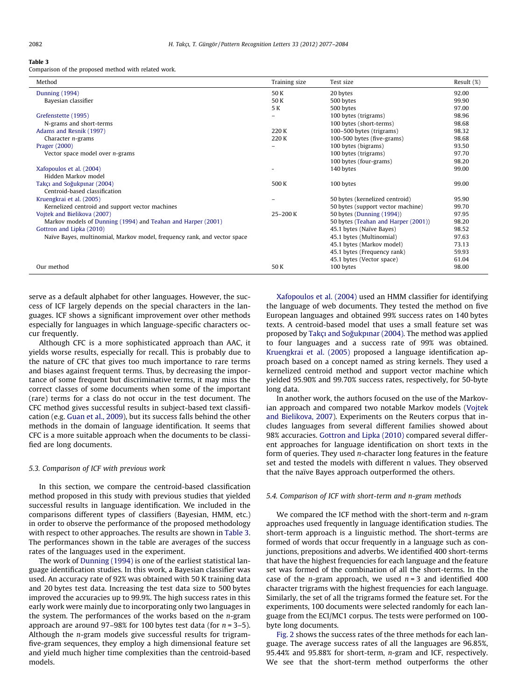#### Table 3

Comparison of the proposed method with related work.

| Method                                                                   | Training size | Test size                           | Result $(\%)$ |
|--------------------------------------------------------------------------|---------------|-------------------------------------|---------------|
| Dunning (1994)                                                           | 50 K          | 20 bytes                            | 92.00         |
| Bayesian classifier                                                      | 50 K          | 500 bytes                           | 99.90         |
|                                                                          | 5 K           | 500 bytes                           | 97.00         |
| Grefenstette (1995)                                                      |               | 100 bytes (trigrams)                | 98.96         |
| N-grams and short-terms                                                  |               | 100 bytes (short-terms)             | 98.68         |
| Adams and Resnik (1997)                                                  | 220 K         | 100-500 bytes (trigrams)            | 98.32         |
| Character $n$ -grams                                                     | 220 K         | 100-500 bytes (five-grams)          | 98.68         |
| Prager (2000)                                                            |               | 100 bytes (bigrams)                 | 93.50         |
| Vector space model over <i>n</i> -grams                                  |               | 100 bytes (trigrams)                | 97.70         |
|                                                                          |               | 100 bytes (four-grams)              | 98.20         |
| Xafopoulos et al. (2004)                                                 |               | 140 bytes                           | 99.00         |
| Hidden Markov model                                                      |               |                                     |               |
| Takçı and Soğukpınar (2004)                                              | 500 K         | 100 bytes                           | 99.00         |
| Centroid-based classification                                            |               |                                     |               |
| Kruengkrai et al. (2005)                                                 |               | 50 bytes (kernelized centroid)      | 95.90         |
| Kernelized centroid and support vector machines                          |               | 50 bytes (support vector machine)   | 99.70         |
| Vojtek and Bielikova (2007)                                              | $25 - 200K$   | 50 bytes (Dunning (1994))           | 97.95         |
| Markov models of Dunning (1994) and Teahan and Harper (2001)             |               | 50 bytes (Teahan and Harper (2001)) | 98.20         |
| Gottron and Lipka (2010)                                                 |               | 45.1 bytes (Naïve Bayes)            | 98.52         |
| Naïve Bayes, multinomial, Markov model, frequency rank, and vector space |               | 45.1 bytes (Multinomial)            | 97.63         |
|                                                                          |               | 45.1 bytes (Markov model)           | 73.13         |
|                                                                          |               | 45.1 bytes (Frequency rank)         | 59.93         |
|                                                                          |               | 45.1 bytes (Vector space)           | 61.04         |
| Our method                                                               | 50 K          | 100 bytes                           | 98.00         |

serve as a default alphabet for other languages. However, the success of ICF largely depends on the special characters in the languages. ICF shows a significant improvement over other methods especially for languages in which language-specific characters occur frequently.

Although CFC is a more sophisticated approach than AAC, it yields worse results, especially for recall. This is probably due to the nature of CFC that gives too much importance to rare terms and biases against frequent terms. Thus, by decreasing the importance of some frequent but discriminative terms, it may miss the correct classes of some documents when some of the important (rare) terms for a class do not occur in the test document. The CFC method gives successful results in subject-based text classification (e.g. [Guan et al., 2009](#page-7-0)), but its success falls behind the other methods in the domain of language identification. It seems that CFC is a more suitable approach when the documents to be classified are long documents.

#### 5.3. Comparison of ICF with previous work

In this section, we compare the centroid-based classification method proposed in this study with previous studies that yielded successful results in language identification. We included in the comparisons different types of classifiers (Bayesian, HMM, etc.) in order to observe the performance of the proposed methodology with respect to other approaches. The results are shown in Table 3. The performances shown in the table are averages of the success rates of the languages used in the experiment.

The work of [Dunning \(1994\)](#page-7-0) is one of the earliest statistical language identification studies. In this work, a Bayesian classifier was used. An accuracy rate of 92% was obtained with 50 K training data and 20 bytes test data. Increasing the test data size to 500 bytes improved the accuracies up to 99.9%. The high success rates in this early work were mainly due to incorporating only two languages in the system. The performances of the works based on the n-gram approach are around 97–98% for 100 bytes test data (for  $n = 3-5$ ). Although the n-gram models give successful results for trigramfive-gram sequences, they employ a high dimensional feature set and yield much higher time complexities than the centroid-based models.

[Xafopoulos et al. \(2004\)](#page-7-0) used an HMM classifier for identifying the language of web documents. They tested the method on five European languages and obtained 99% success rates on 140 bytes texts. A centroid-based model that uses a small feature set was proposed by [Takç](#page-7-0)ı and Soğukpı[nar \(2004\)](#page-7-0). The method was applied to four languages and a success rate of 99% was obtained. [Kruengkrai et al. \(2005\)](#page-7-0) proposed a language identification approach based on a concept named as string kernels. They used a kernelized centroid method and support vector machine which yielded 95.90% and 99.70% success rates, respectively, for 50-byte long data.

In another work, the authors focused on the use of the Markovian approach and compared two notable Markov models [\(Vojtek](#page-7-0) [and Bielikova, 2007](#page-7-0)). Experiments on the Reuters corpus that includes languages from several different families showed about 98% accuracies. [Gottron and Lipka \(2010\)](#page-7-0) compared several different approaches for language identification on short texts in the form of queries. They used n-character long features in the feature set and tested the models with different n values. They observed that the naïve Bayes approach outperformed the others.

### 5.4. Comparison of ICF with short-term and n-gram methods

We compared the ICF method with the short-term and  $n$ -gram approaches used frequently in language identification studies. The short-term approach is a linguistic method. The short-terms are formed of words that occur frequently in a language such as conjunctions, prepositions and adverbs. We identified 400 short-terms that have the highest frequencies for each language and the feature set was formed of the combination of all the short-terms. In the case of the *n*-gram approach, we used  $n = 3$  and identified 400 character trigrams with the highest frequencies for each language. Similarly, the set of all the trigrams formed the feature set. For the experiments, 100 documents were selected randomly for each language from the ECI/MC1 corpus. The tests were performed on 100 byte long documents.

[Fig. 2](#page-6-0) shows the success rates of the three methods for each language. The average success rates of all the languages are 96.85%, 95.44% and 95.88% for short-term, n-gram and ICF, respectively. We see that the short-term method outperforms the other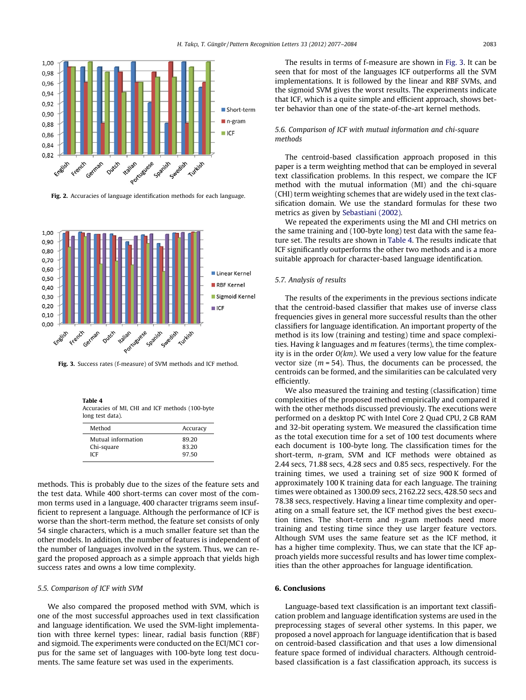<span id="page-6-0"></span>

Fig. 2. Accuracies of language identification methods for each language.



Fig. 3. Success rates (f-measure) of SVM methods and ICF method.

| Table 4                                         |  |
|-------------------------------------------------|--|
| Accuracies of MI, CHI and ICF methods (100-byte |  |
| long test data).                                |  |

| Method             | Accuracy |
|--------------------|----------|
| Mutual information | 89.20    |
| Chi-square         | 83.20    |
| ICF                | 97.50    |

methods. This is probably due to the sizes of the feature sets and the test data. While 400 short-terms can cover most of the common terms used in a language, 400 character trigrams seem insufficient to represent a language. Although the performance of ICF is worse than the short-term method, the feature set consists of only 54 single characters, which is a much smaller feature set than the other models. In addition, the number of features is independent of the number of languages involved in the system. Thus, we can regard the proposed approach as a simple approach that yields high success rates and owns a low time complexity.

## 5.5. Comparison of ICF with SVM

We also compared the proposed method with SVM, which is one of the most successful approaches used in text classification and language identification. We used the SVM-light implementation with three kernel types: linear, radial basis function (RBF) and sigmoid. The experiments were conducted on the ECI/MC1 corpus for the same set of languages with 100-byte long test documents. The same feature set was used in the experiments.

The results in terms of f-measure are shown in Fig. 3. It can be seen that for most of the languages ICF outperforms all the SVM implementations. It is followed by the linear and RBF SVMs, and the sigmoid SVM gives the worst results. The experiments indicate that ICF, which is a quite simple and efficient approach, shows better behavior than one of the state-of-the-art kernel methods.

# 5.6. Comparison of ICF with mutual information and chi-square methods

The centroid-based classification approach proposed in this paper is a term weighting method that can be employed in several text classification problems. In this respect, we compare the ICF method with the mutual information (MI) and the chi-square (CHI) term weighting schemes that are widely used in the text classification domain. We use the standard formulas for these two metrics as given by [Sebastiani \(2002\).](#page-7-0)

We repeated the experiments using the MI and CHI metrics on the same training and (100-byte long) test data with the same feature set. The results are shown in Table 4. The results indicate that ICF significantly outperforms the other two methods and is a more suitable approach for character-based language identification.

# 5.7. Analysis of results

The results of the experiments in the previous sections indicate that the centroid-based classifier that makes use of inverse class frequencies gives in general more successful results than the other classifiers for language identification. An important property of the method is its low (training and testing) time and space complexities. Having  $k$  languages and  $m$  features (terms), the time complexity is in the order  $O(km)$ . We used a very low value for the feature vector size ( $m = 54$ ). Thus, the documents can be processed, the centroids can be formed, and the similarities can be calculated very efficiently.

We also measured the training and testing (classification) time complexities of the proposed method empirically and compared it with the other methods discussed previously. The executions were performed on a desktop PC with Intel Core 2 Quad CPU, 2 GB RAM and 32-bit operating system. We measured the classification time as the total execution time for a set of 100 test documents where each document is 100-byte long. The classification times for the short-term, n-gram, SVM and ICF methods were obtained as 2.44 secs, 71.88 secs, 4.28 secs and 0.85 secs, respectively. For the training times, we used a training set of size 900 K formed of approximately 100 K training data for each language. The training times were obtained as 1300.09 secs, 2162.22 secs, 428.50 secs and 78.38 secs, respectively. Having a linear time complexity and operating on a small feature set, the ICF method gives the best execution times. The short-term and n-gram methods need more training and testing time since they use larger feature vectors. Although SVM uses the same feature set as the ICF method, it has a higher time complexity. Thus, we can state that the ICF approach yields more successful results and has lower time complexities than the other approaches for language identification.

## 6. Conclusions

Language-based text classification is an important text classification problem and language identification systems are used in the preprocessing stages of several other systems. In this paper, we proposed a novel approach for language identification that is based on centroid-based classification and that uses a low dimensional feature space formed of individual characters. Although centroidbased classification is a fast classification approach, its success is